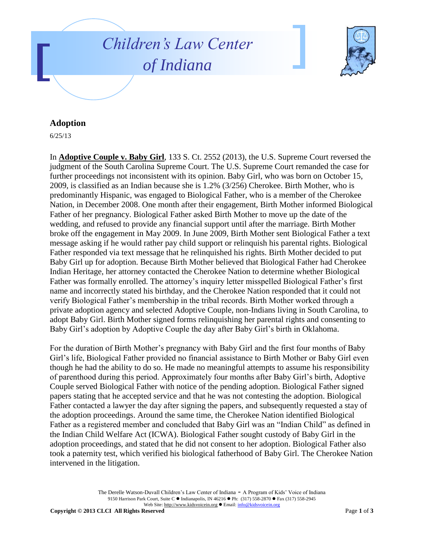



## **Adoption**

6/25/13

In **Adoptive Couple v. Baby Girl**, 133 S. Ct. 2552 (2013), the U.S. Supreme Court reversed the judgment of the South Carolina Supreme Court. The U.S. Supreme Court remanded the case for further proceedings not inconsistent with its opinion. Baby Girl, who was born on October 15, 2009, is classified as an Indian because she is 1.2% (3/256) Cherokee. Birth Mother, who is predominantly Hispanic, was engaged to Biological Father, who is a member of the Cherokee Nation, in December 2008. One month after their engagement, Birth Mother informed Biological Father of her pregnancy. Biological Father asked Birth Mother to move up the date of the wedding, and refused to provide any financial support until after the marriage. Birth Mother broke off the engagement in May 2009. In June 2009, Birth Mother sent Biological Father a text message asking if he would rather pay child support or relinquish his parental rights. Biological Father responded via text message that he relinquished his rights. Birth Mother decided to put Baby Girl up for adoption. Because Birth Mother believed that Biological Father had Cherokee Indian Heritage, her attorney contacted the Cherokee Nation to determine whether Biological Father was formally enrolled. The attorney's inquiry letter misspelled Biological Father's first name and incorrectly stated his birthday, and the Cherokee Nation responded that it could not verify Biological Father's membership in the tribal records. Birth Mother worked through a private adoption agency and selected Adoptive Couple, non-Indians living in South Carolina, to adopt Baby Girl. Birth Mother signed forms relinquishing her parental rights and consenting to Baby Girl's adoption by Adoptive Couple the day after Baby Girl's birth in Oklahoma.

For the duration of Birth Mother's pregnancy with Baby Girl and the first four months of Baby Girl's life, Biological Father provided no financial assistance to Birth Mother or Baby Girl even though he had the ability to do so. He made no meaningful attempts to assume his responsibility of parenthood during this period. Approximately four months after Baby Girl's birth, Adoptive Couple served Biological Father with notice of the pending adoption. Biological Father signed papers stating that he accepted service and that he was not contesting the adoption. Biological Father contacted a lawyer the day after signing the papers, and subsequently requested a stay of the adoption proceedings. Around the same time, the Cherokee Nation identified Biological Father as a registered member and concluded that Baby Girl was an "Indian Child" as defined in the Indian Child Welfare Act (ICWA). Biological Father sought custody of Baby Girl in the adoption proceedings, and stated that he did not consent to her adoption. Biological Father also took a paternity test, which verified his biological fatherhood of Baby Girl. The Cherokee Nation intervened in the litigation.

> The Derelle Watson-Duvall Children's Law Center of Indiana - A Program of Kids' Voice of Indiana 9150 Harrison Park Court, Suite C · Indianapolis, IN 46216 · Ph: (317) 558-2870 · Fax (317) 558-2945 Web Site: http://www.kidsvoicein.org ● Email: info@kidsvoicein.org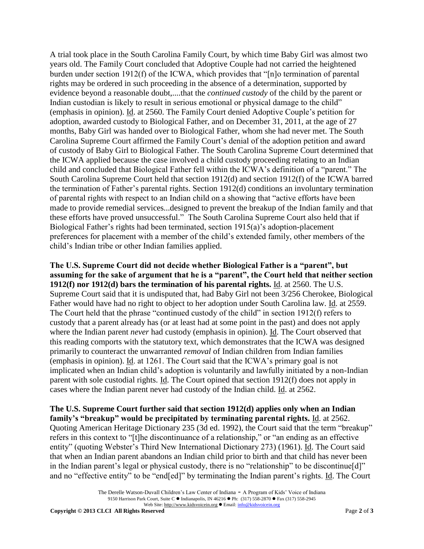A trial took place in the South Carolina Family Court, by which time Baby Girl was almost two years old. The Family Court concluded that Adoptive Couple had not carried the heightened burden under section 1912(f) of the ICWA, which provides that "[n]o termination of parental rights may be ordered in such proceeding in the absence of a determination, supported by evidence beyond a reasonable doubt,....that the *continued custody* of the child by the parent or Indian custodian is likely to result in serious emotional or physical damage to the child" (emphasis in opinion). Id. at 2560. The Family Court denied Adoptive Couple's petition for adoption, awarded custody to Biological Father, and on December 31, 2011, at the age of 27 months, Baby Girl was handed over to Biological Father, whom she had never met. The South Carolina Supreme Court affirmed the Family Court's denial of the adoption petition and award of custody of Baby Girl to Biological Father. The South Carolina Supreme Court determined that the ICWA applied because the case involved a child custody proceeding relating to an Indian child and concluded that Biological Father fell within the ICWA's definition of a "parent." The South Carolina Supreme Court held that section 1912(d) and section 1912(f) of the ICWA barred the termination of Father's parental rights. Section 1912(d) conditions an involuntary termination of parental rights with respect to an Indian child on a showing that "active efforts have been made to provide remedial services...designed to prevent the breakup of the Indian family and that these efforts have proved unsuccessful." The South Carolina Supreme Court also held that if Biological Father's rights had been terminated, section 1915(a)'s adoption-placement preferences for placement with a member of the child's extended family, other members of the child's Indian tribe or other Indian families applied.

**The U.S. Supreme Court did not decide whether Biological Father is a "parent", but assuming for the sake of argument that he is a "parent", the Court held that neither section 1912(f) nor 1912(d) bars the termination of his parental rights.** Id. at 2560. The U.S. Supreme Court said that it is undisputed that, had Baby Girl not been 3/256 Cherokee, Biological Father would have had no right to object to her adoption under South Carolina law. Id. at 2559. The Court held that the phrase "continued custody of the child" in section 1912(f) refers to custody that a parent already has (or at least had at some point in the past) and does not apply where the Indian parent *never* had custody (emphasis in opinion). Id. The Court observed that this reading comports with the statutory text, which demonstrates that the ICWA was designed primarily to counteract the unwarranted *removal* of Indian children from Indian families (emphasis in opinion). Id. at 1261. The Court said that the ICWA's primary goal is not implicated when an Indian child's adoption is voluntarily and lawfully initiated by a non-Indian parent with sole custodial rights. Id. The Court opined that section 1912(f) does not apply in cases where the Indian parent never had custody of the Indian child. Id. at 2562.

**The U.S. Supreme Court further said that section 1912(d) applies only when an Indian family's "breakup" would be precipitated by terminating parental rights.** Id. at 2562. Quoting American Heritage Dictionary 235 (3d ed. 1992), the Court said that the term "breakup" refers in this context to "[t]he discontinuance of a relationship," or "an ending as an effective entity" (quoting Webster's Third New International Dictionary 273) (1961). Id. The Court said that when an Indian parent abandons an Indian child prior to birth and that child has never been in the Indian parent's legal or physical custody, there is no "relationship" to be discontinue[d]" and no "effective entity" to be "end[ed]" by terminating the Indian parent's rights. Id. The Court

The Derelle Watson-Duvall Children's Law Center of Indiana - A Program of Kids' Voice of Indiana 9150 Harrison Park Court, Suite C · Indianapolis, IN 46216 · Ph: (317) 558-2870 · Fax (317) 558-2945 Web Site: http://www.kidsvoicein.org ● Email: info@kidsvoicein.org